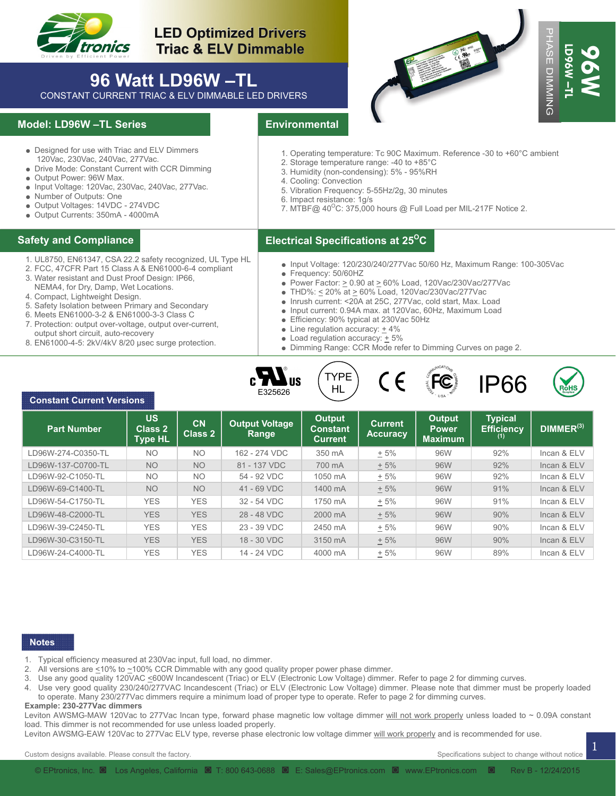

# **96 Watt LD96W –TL**

#### **Model: LD96W –TL Series**

- Designed for use with Triac and ELV Dimmers 120Vac, 230Vac, 240Vac, 277Vac.
- Drive Mode: Constant Current with CCR Dimming
- Output Power: 96W Max.
- Input Voltage: 120Vac, 230Vac, 240Vac, 277Vac.
- Number of Outputs: One
- Output Voltages: 14VDC 274VDC
- Output Currents: 350mA 4000mA

- 1. UL8750, EN61347, CSA 22.2 safety recognized, UL Type HL
- 2. FCC, 47CFR Part 15 Class A & EN61000-6-4 compliant
- 3. Water resistant and Dust Proof Design: IP66, NEMA4, for Dry, Damp, Wet Locations.
- 4. Compact, Lightweight Design.

- 5. Safety Isolation between Primary and Secondary
- 6. Meets EN61000-3-2 & EN61000-3-3 Class C
- 7. Protection: output over-voltage, output over-current, output short circuit, auto-recovery
- 8. EN61000-4-5: 2kV/4kV 8/20 µsec surge protection.





- 1. Operating temperature: Tc 90C Maximum. Reference -30 to +60°C ambient
- 2. Storage temperature range: -40 to +85°C
- 3. Humidity (non-condensing): 5% 95%RH
- 4. Cooling: Convection
- 5. Vibration Frequency: 5-55Hz/2g, 30 minutes
- 6. Impact resistance: 1g/s
- 7. MTBF@  $40^{\circ}$ C: 375,000 hours @ Full Load per MIL-217F Notice 2.

#### **Electrical Specifications at 25O Safety and Compliance C**

- Input Voltage: 120/230/240/277Vac 50/60 Hz, Maximum Range: 100-305Vac
- Frequency: 50/60HZ
- Power Factor:  $\geq$  0.90 at  $\geq$  60% Load, 120Vac/230Vac/277Vac
- $\bullet$  THD%: < 20% at > 60% Load, 120Vac/230Vac/277Vac
- Inrush current: <20A at 25C, 277Vac, cold start, Max. Load
- Input current: 0.94A max. at 120Vac, 60Hz, Maximum Load
- Efficiency: 90% typical at 230Vac 50Hz
- $\bullet$  Line regulation accuracy:  $+4\%$
- Load regulation accuracy:  $\pm$  5%
- Dimming Range: CCR Mode refer to Dimming Curves on page 2.









| tronics                                                                                                                                                                                                                                                                                                                                                                                                                                                                                                                                                                                                                                                                                                                                                                                                                                                                                                                                                                                                                       |                                  |                          | <b>LED Optimized Drivers</b><br><b>Triac &amp; ELV Dimmable</b>                                                                 |                                                                                                                                                                                                                                                                                                                                                             |                                                                                                                                                                                                                                                                                                                                                        |                                |                                                                                 | F.<br><b>ASE</b>                       |  |
|-------------------------------------------------------------------------------------------------------------------------------------------------------------------------------------------------------------------------------------------------------------------------------------------------------------------------------------------------------------------------------------------------------------------------------------------------------------------------------------------------------------------------------------------------------------------------------------------------------------------------------------------------------------------------------------------------------------------------------------------------------------------------------------------------------------------------------------------------------------------------------------------------------------------------------------------------------------------------------------------------------------------------------|----------------------------------|--------------------------|---------------------------------------------------------------------------------------------------------------------------------|-------------------------------------------------------------------------------------------------------------------------------------------------------------------------------------------------------------------------------------------------------------------------------------------------------------------------------------------------------------|--------------------------------------------------------------------------------------------------------------------------------------------------------------------------------------------------------------------------------------------------------------------------------------------------------------------------------------------------------|--------------------------------|---------------------------------------------------------------------------------|----------------------------------------|--|
| CONSTANT CURRENT TRIAC & ELV DIMMABLE LED DRIVERS                                                                                                                                                                                                                                                                                                                                                                                                                                                                                                                                                                                                                                                                                                                                                                                                                                                                                                                                                                             | 96 Watt LD96W-TL                 |                          |                                                                                                                                 |                                                                                                                                                                                                                                                                                                                                                             |                                                                                                                                                                                                                                                                                                                                                        |                                |                                                                                 | LD9601<br><b>MOG</b><br><b>DIMMING</b> |  |
| lodel: LD96W -TL Series                                                                                                                                                                                                                                                                                                                                                                                                                                                                                                                                                                                                                                                                                                                                                                                                                                                                                                                                                                                                       |                                  |                          |                                                                                                                                 | <b>Environmental</b>                                                                                                                                                                                                                                                                                                                                        |                                                                                                                                                                                                                                                                                                                                                        |                                |                                                                                 |                                        |  |
| • Designed for use with Triac and ELV Dimmers<br>120Vac, 230Vac, 240Vac, 277Vac.<br>• Drive Mode: Constant Current with CCR Dimming<br>• Output Power: 96W Max.<br>• Input Voltage: 120Vac, 230Vac, 240Vac, 277Vac.<br>• Number of Outputs: One<br>• Output Voltages: 14VDC - 274VDC<br>· Output Currents: 350mA - 4000mA                                                                                                                                                                                                                                                                                                                                                                                                                                                                                                                                                                                                                                                                                                     |                                  |                          |                                                                                                                                 | 1. Operating temperature: Tc 90C Maximum. Reference -30 to +60°C ambient<br>2. Storage temperature range: -40 to +85°C<br>3. Humidity (non-condensing): 5% - 95%RH<br>4. Cooling: Convection<br>5. Vibration Frequency: 5-55Hz/2g, 30 minutes<br>6. Impact resistance: 1g/s<br>7. MTBF@ 40 <sup>o</sup> C: 375,000 hours @ Full Load per MIL-217F Notice 2. |                                                                                                                                                                                                                                                                                                                                                        |                                |                                                                                 |                                        |  |
| afety and Compliance                                                                                                                                                                                                                                                                                                                                                                                                                                                                                                                                                                                                                                                                                                                                                                                                                                                                                                                                                                                                          |                                  |                          |                                                                                                                                 |                                                                                                                                                                                                                                                                                                                                                             | Electrical Specifications at 25 <sup>o</sup> C                                                                                                                                                                                                                                                                                                         |                                |                                                                                 |                                        |  |
| 1. UL8750, EN61347, CSA 22.2 safety recognized, UL Type HL<br>2. FCC, 47CFR Part 15 Class A & EN61000-6-4 compliant<br>3. Water resistant and Dust Proof Design: IP66,<br>NEMA4, for Dry, Damp, Wet Locations.<br>4. Compact, Lightweight Design.<br>5. Safety Isolation between Primary and Secondary<br>6. Meets EN61000-3-2 & EN61000-3-3 Class C<br>7. Protection: output over-voltage, output over-current,<br>output short circuit, auto-recovery<br>8. EN61000-4-5: 2kV/4kV 8/20 usec surge protection.                                                                                                                                                                                                                                                                                                                                                                                                                                                                                                                |                                  |                          |                                                                                                                                 | • Frequency: 50/60HZ<br>• Line regulation accuracy: $+4\%$<br>$\bullet$ Load regulation accuracy: $\pm$ 5%                                                                                                                                                                                                                                                  | ● Power Factor: > 0.90 at > 60% Load, 120Vac/230Vac/277Vac<br>• THD%: < 20% at > 60% Load, 120Vac/230Vac/277Vac<br>Inrush current: <20A at 25C, 277Vac, cold start, Max. Load<br>• Input current: 0.94A max. at 120Vac, 60Hz, Maximum Load<br>• Efficiency: 90% typical at 230Vac 50Hz<br>• Dimming Range: CCR Mode refer to Dimming Curves on page 2. |                                | $\bullet$ Input Voltage: 120/230/240/277Vac 50/60 Hz, Maximum Range: 100-305Vac |                                        |  |
| <b>Constant Current Versions</b>                                                                                                                                                                                                                                                                                                                                                                                                                                                                                                                                                                                                                                                                                                                                                                                                                                                                                                                                                                                              | <b>US</b>                        | <b>CN</b>                | $\mathbf{M}$ us<br>E325626<br><b>Output Voltage</b>                                                                             | <b>TYPE</b><br>HL<br><b>Output</b>                                                                                                                                                                                                                                                                                                                          | <b>Current</b>                                                                                                                                                                                                                                                                                                                                         | <b>Output</b>                  | <b>IP66</b><br><b>Typical</b>                                                   |                                        |  |
| <b>Part Number</b>                                                                                                                                                                                                                                                                                                                                                                                                                                                                                                                                                                                                                                                                                                                                                                                                                                                                                                                                                                                                            | <b>Class 2</b><br><b>Type HL</b> | <b>Class 2</b>           | Range                                                                                                                           | <b>Constant</b><br><b>Current</b>                                                                                                                                                                                                                                                                                                                           | <b>Accuracy</b>                                                                                                                                                                                                                                                                                                                                        | <b>Power</b><br><b>Maximum</b> | <b>Efficiency</b>                                                               | DIMMER <sup>(3)</sup>                  |  |
| LD96W-274-C0350-TL                                                                                                                                                                                                                                                                                                                                                                                                                                                                                                                                                                                                                                                                                                                                                                                                                                                                                                                                                                                                            | <b>NO</b>                        | NO                       | 162 - 274 VDC                                                                                                                   | 350 mA                                                                                                                                                                                                                                                                                                                                                      | $+5%$                                                                                                                                                                                                                                                                                                                                                  | 96W                            | 92%                                                                             | Incan & ELV                            |  |
| LD96W-137-C0700-TL                                                                                                                                                                                                                                                                                                                                                                                                                                                                                                                                                                                                                                                                                                                                                                                                                                                                                                                                                                                                            | <b>NO</b>                        | <b>NO</b>                | 81 - 137 VDC                                                                                                                    | 700 mA                                                                                                                                                                                                                                                                                                                                                      | $+5%$                                                                                                                                                                                                                                                                                                                                                  | 96W                            | 92%                                                                             | Incan & ELV                            |  |
| LD96W-92-C1050-TL                                                                                                                                                                                                                                                                                                                                                                                                                                                                                                                                                                                                                                                                                                                                                                                                                                                                                                                                                                                                             | <b>NO</b>                        | <b>NO</b>                | 54 - 92 VDC                                                                                                                     | 1050 mA                                                                                                                                                                                                                                                                                                                                                     | $+5%$                                                                                                                                                                                                                                                                                                                                                  | 96W                            | 92%                                                                             | Incan & ELV                            |  |
| LD96W-69-C1400-TL                                                                                                                                                                                                                                                                                                                                                                                                                                                                                                                                                                                                                                                                                                                                                                                                                                                                                                                                                                                                             | <b>NO</b>                        | <b>NO</b>                | 41 - 69 VDC                                                                                                                     | 1400 mA                                                                                                                                                                                                                                                                                                                                                     | $+5%$                                                                                                                                                                                                                                                                                                                                                  | 96W                            | 91%                                                                             | Incan & ELV                            |  |
| LD96W-54-C1750-TL                                                                                                                                                                                                                                                                                                                                                                                                                                                                                                                                                                                                                                                                                                                                                                                                                                                                                                                                                                                                             | <b>YES</b>                       | <b>YES</b>               | 32 - 54 VDC                                                                                                                     | 1750 mA                                                                                                                                                                                                                                                                                                                                                     | $+5%$                                                                                                                                                                                                                                                                                                                                                  | 96W                            | 91%                                                                             | Incan & ELV                            |  |
| LD96W-48-C2000-TL                                                                                                                                                                                                                                                                                                                                                                                                                                                                                                                                                                                                                                                                                                                                                                                                                                                                                                                                                                                                             | <b>YES</b>                       | <b>YES</b>               | 28 - 48 VDC                                                                                                                     | 2000 mA                                                                                                                                                                                                                                                                                                                                                     | ± 5%                                                                                                                                                                                                                                                                                                                                                   | 96W                            | 90%                                                                             | Incan & ELV                            |  |
| LD96W-39-C2450-TL                                                                                                                                                                                                                                                                                                                                                                                                                                                                                                                                                                                                                                                                                                                                                                                                                                                                                                                                                                                                             | <b>YES</b>                       | <b>YES</b>               | 23 - 39 VDC                                                                                                                     | 2450 mA                                                                                                                                                                                                                                                                                                                                                     | $+5%$                                                                                                                                                                                                                                                                                                                                                  | 96W                            | 90%                                                                             | Incan & ELV<br>Incan & ELV             |  |
| LD96W-30-C3150-TL<br>LD96W-24-C4000-TL                                                                                                                                                                                                                                                                                                                                                                                                                                                                                                                                                                                                                                                                                                                                                                                                                                                                                                                                                                                        | <b>YES</b><br><b>YES</b>         | <b>YES</b><br><b>YES</b> | 18 - 30 VDC<br>14 - 24 VDC                                                                                                      | 3150 mA<br>4000 mA                                                                                                                                                                                                                                                                                                                                          | ± 5%<br>$+5%$                                                                                                                                                                                                                                                                                                                                          | 96W<br>96W                     | 90%<br>89%                                                                      | Incan & ELV                            |  |
| <b>Notes</b><br>1. Typical efficiency measured at 230Vac input, full load, no dimmer.<br>2. All versions are <10% to ~100% CCR Dimmable with any good quality proper power phase dimmer.<br>3. Use any good quality 120VAC <600W Incandescent (Triac) or ELV (Electronic Low Voltage) dimmer. Refer to page 2 for dimming curves.<br>4. Use very good quality 230/240/277VAC Incandescent (Triac) or ELV (Electronic Low Voltage) dimmer. Please note that dimmer must be properly loaded<br>to operate. Many 230/277Vac dimmers require a minimum load of proper type to operate. Refer to page 2 for dimming curves.<br>Example: 230-277Vac dimmers<br>Leviton AWSMG-MAW 120Vac to 277Vac Incan type, forward phase magnetic low voltage dimmer will not work properly unless loaded to ~ 0.09A constant<br>load. This dimmer is not recommended for use unless loaded properly.<br>Leviton AWSMG-EAW 120Vac to 277Vac ELV type, reverse phase electronic low voltage dimmer will work properly and is recommended for use. |                                  |                          |                                                                                                                                 |                                                                                                                                                                                                                                                                                                                                                             |                                                                                                                                                                                                                                                                                                                                                        |                                |                                                                                 |                                        |  |
| Custom designs available. Please consult the factory.                                                                                                                                                                                                                                                                                                                                                                                                                                                                                                                                                                                                                                                                                                                                                                                                                                                                                                                                                                         |                                  |                          |                                                                                                                                 |                                                                                                                                                                                                                                                                                                                                                             |                                                                                                                                                                                                                                                                                                                                                        |                                | Specifications subject to change without notice                                 |                                        |  |
|                                                                                                                                                                                                                                                                                                                                                                                                                                                                                                                                                                                                                                                                                                                                                                                                                                                                                                                                                                                                                               |                                  |                          | © EPtronics, Inc. @ Los Angeles, California @ T: 800 643-0688 @ E: Sales@EPtronics.com @ www.EPtronics.com @ Rev B - 12/24/2015 |                                                                                                                                                                                                                                                                                                                                                             |                                                                                                                                                                                                                                                                                                                                                        |                                |                                                                                 |                                        |  |

#### **Notes**

- 1. Typical efficiency measured at 230Vac input, full load, no dimmer.
- 2. All versions are  $\leq$ 10% to  $\sim$ 100% CCR Dimmable with any good quality proper power phase dimmer.
- Use any good quality 120VAC <600W Incandescent (Triac) or ELV (Electronic Low Voltage) dimmer. Refer to page 2 for dimming curves.
- 4. Use very good quality 230/240/277VAC Incandescent (Triac) or ELV (Electronic Low Voltage) dimmer. Please note that dimmer must be properly loaded to operate. Many 230/277Vac dimmers require a minimum load of proper type to operate. Refer to page 2 for dimming curves.

#### **Example: 230-277Vac dimmers**

1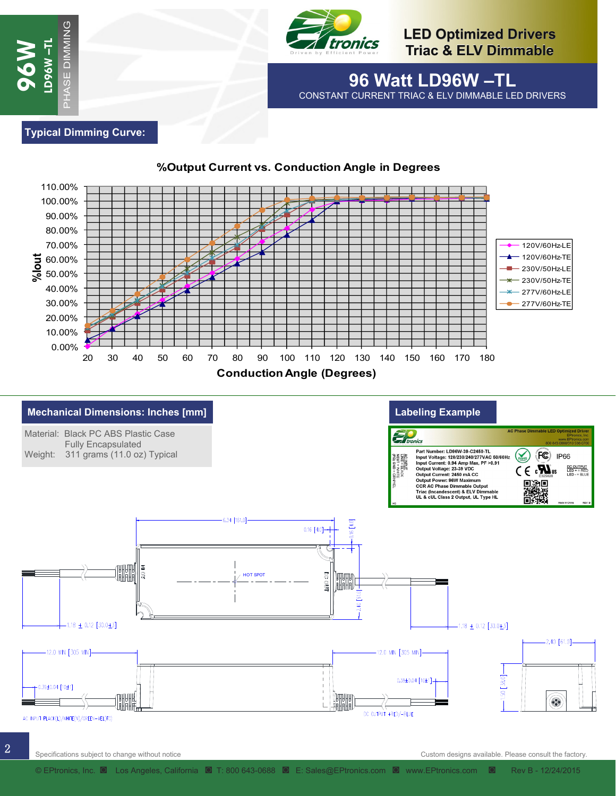

**96 Watt LD96W –TL**  CONSTANT CURRENT TRIAC & ELV DIMMABLE LED DRIVERS

**Typical Dimming Curve:** 

**96W** 

**LD96W –TL** 





#### **%Output Current vs. Conduction Angle in Degrees**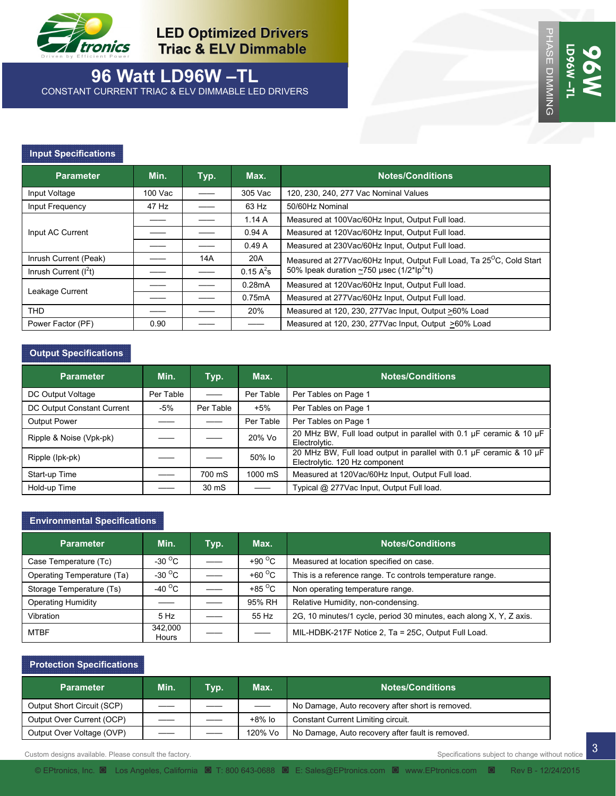

# **96 Watt LD96W –TL**

CONSTANT CURRENT TRIAC & ELV DIMMABLE LED DRIVERS

#### **Input Specifications**

| <b>Parameter</b>       | Min.    | Typ. | Max.         | <b>Notes/Conditions</b>                                                           |
|------------------------|---------|------|--------------|-----------------------------------------------------------------------------------|
| Input Voltage          | 100 Vac |      | 305 Vac      | 120, 230, 240, 277 Vac Nominal Values                                             |
| Input Frequency        | 47 Hz   |      | 63 Hz        | 50/60Hz Nominal                                                                   |
| Input AC Current       |         |      | 1.14A        | Measured at 100Vac/60Hz Input, Output Full load.                                  |
|                        |         |      | 0.94A        | Measured at 120Vac/60Hz Input, Output Full load.                                  |
|                        |         |      | 0.49A        | Measured at 230Vac/60Hz Input, Output Full load.                                  |
| Inrush Current (Peak)  |         | 14A  | 20A          | Measured at 277Vac/60Hz Input, Output Full Load, Ta 25 <sup>o</sup> C, Cold Start |
| Inrush Current $(I2t)$ |         |      | 0.15 $A^2$ s | 50% Ipeak duration $\sim$ 750 µsec (1/2*Ip <sup>2*</sup> t)                       |
| Leakage Current        |         |      | 0.28mA       | Measured at 120Vac/60Hz Input, Output Full load.                                  |
|                        |         |      | 0.75mA       | Measured at 277Vac/60Hz Input, Output Full load.                                  |
| <b>THD</b>             |         |      | 20%          | Measured at 120, 230, 277Vac Input, Output >60% Load                              |
| Power Factor (PF)      | 0.90    |      |              | Measured at 120, 230, 277Vac Input, Output >60% Load                              |

#### **Output Specifications**

| <b>Parameter</b>           | Min.      | Typ.      | Max.      | <b>Notes/Conditions</b>                                                                               |
|----------------------------|-----------|-----------|-----------|-------------------------------------------------------------------------------------------------------|
| DC Output Voltage          | Per Table |           | Per Table | Per Tables on Page 1                                                                                  |
| DC Output Constant Current | -5%       | Per Table | $+5%$     | Per Tables on Page 1                                                                                  |
| <b>Output Power</b>        |           |           | Per Table | Per Tables on Page 1                                                                                  |
| Ripple & Noise (Vpk-pk)    |           |           | 20% Vo    | 20 MHz BW, Full load output in parallel with 0.1 µF ceramic & 10 µF<br>Electrolytic.                  |
| Ripple (lpk-pk)            |           |           | 50% lo    | 20 MHz BW, Full load output in parallel with 0.1 µF ceramic & 10 µF<br>Electrolytic. 120 Hz component |
| Start-up Time              |           | 700 mS    | 1000 mS   | Measured at 120Vac/60Hz Input, Output Full load.                                                      |
| Hold-up Time               |           | 30 mS     |           | Typical @ 277Vac Input, Output Full load.                                                             |

#### **Environmental Specifications**

| <b>Parameter</b>           | Min.             | Typ. | Max.                     | <b>Notes/Conditions</b>                                             |
|----------------------------|------------------|------|--------------------------|---------------------------------------------------------------------|
| Case Temperature (Tc)      | -30 $^{\circ}$ C |      | +90 $\degree$ C          | Measured at location specified on case.                             |
|                            |                  |      |                          |                                                                     |
| Operating Temperature (Ta) | -30 $^{\circ}$ C |      | +60 $\degree$ C          | This is a reference range. Tc controls temperature range.           |
| Storage Temperature (Ts)   | -40 $^{\circ}$ C |      | +85 $\mathrm{^{\circ}C}$ | Non operating temperature range.                                    |
| <b>Operating Humidity</b>  |                  |      | 95% RH                   | Relative Humidity, non-condensing.                                  |
| Vibration                  | 5 Hz             |      | 55 Hz                    | 2G, 10 minutes/1 cycle, period 30 minutes, each along X, Y, Z axis. |
| MTBF                       | 342.000<br>Hours |      |                          | MIL-HDBK-217F Notice 2, Ta = 25C, Output Full Load.                 |

### **Protection Specifications**

| <b>Parameter</b>           | Min. | Typ. | Max.    | <b>Notes/Conditions</b>                          |
|----------------------------|------|------|---------|--------------------------------------------------|
| Output Short Circuit (SCP) |      |      |         | No Damage, Auto recovery after short is removed. |
| Output Over Current (OCP)  |      |      | +8% lo  | Constant Current Limiting circuit.               |
| Output Over Voltage (OVP)  |      |      | 120% Vo | No Damage, Auto recovery after fault is removed. |

Custom designs available. Please consult the factory. Specifications subject to change without notice consult the factory.

3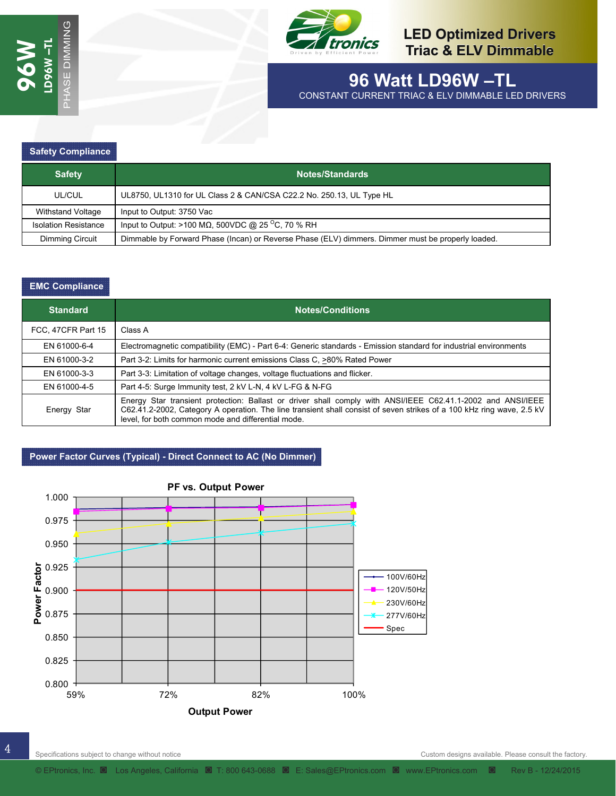

# **96 Watt LD96W –TL**

CONSTANT CURRENT TRIAC & ELV DIMMABLE LED DRIVERS

#### **Safety Compliance**

| <b>Safety</b>               | Notes/Standards                                                                                   |  |  |  |
|-----------------------------|---------------------------------------------------------------------------------------------------|--|--|--|
| UL/CUL                      | UL8750, UL1310 for UL Class 2 & CAN/CSA C22.2 No. 250.13, UL Type HL                              |  |  |  |
| Withstand Voltage           | Input to Output: 3750 Vac                                                                         |  |  |  |
| <b>Isolation Resistance</b> | Input to Output: >100 M $\Omega$ , 500VDC @ 25 <sup>o</sup> C, 70 % RH                            |  |  |  |
| Dimming Circuit             | Dimmable by Forward Phase (Incan) or Reverse Phase (ELV) dimmers. Dimmer must be properly loaded. |  |  |  |

#### **EMC Compliance**

| <b>Standard</b>    | <b>Notes/Conditions</b>                                                                                                                                                                                                                                                                    |  |  |  |  |
|--------------------|--------------------------------------------------------------------------------------------------------------------------------------------------------------------------------------------------------------------------------------------------------------------------------------------|--|--|--|--|
| FCC, 47CFR Part 15 | Class A                                                                                                                                                                                                                                                                                    |  |  |  |  |
| EN 61000-6-4       | Electromagnetic compatibility (EMC) - Part 6-4: Generic standards - Emission standard for industrial environments                                                                                                                                                                          |  |  |  |  |
| EN 61000-3-2       | Part 3-2: Limits for harmonic current emissions Class C, >80% Rated Power                                                                                                                                                                                                                  |  |  |  |  |
| EN 61000-3-3       | Part 3-3: Limitation of voltage changes, voltage fluctuations and flicker.                                                                                                                                                                                                                 |  |  |  |  |
| EN 61000-4-5       | Part 4-5: Surge Immunity test, 2 kV L-N, 4 kV L-FG & N-FG                                                                                                                                                                                                                                  |  |  |  |  |
| Energy Star        | Energy Star transient protection: Ballast or driver shall comply with ANSI/IEEE C62.41.1-2002 and ANSI/IEEE<br>C62.41.2-2002, Category A operation. The line transient shall consist of seven strikes of a 100 kHz ring wave, 2.5 kV<br>level, for both common mode and differential mode. |  |  |  |  |

#### **Power Factor Curves (Typical) - Direct Connect to AC (No Dimmer)**

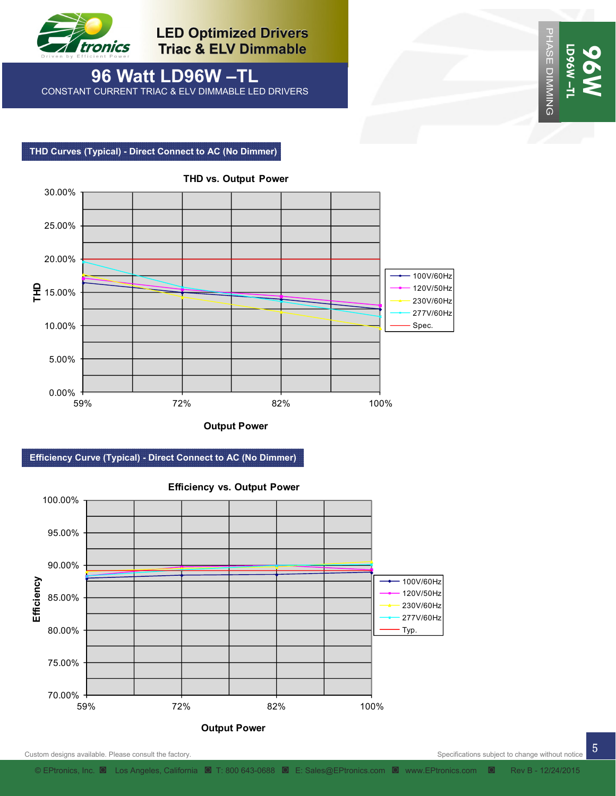

**96 Watt LD96W –TL**  CONSTANT CURRENT TRIAC & ELV DIMMABLE LED DRIVERS

 **THD Curves (Typical) - Direct Connect to AC (No Dimmer)** 



**Output Power**





Custom designs available. Please consult the factory. Specifications subject to change without notice

PHASE DIMMING

PHASE DIMMING

**LD96W –TL** 

**L-M9601** 

**96W** 

5